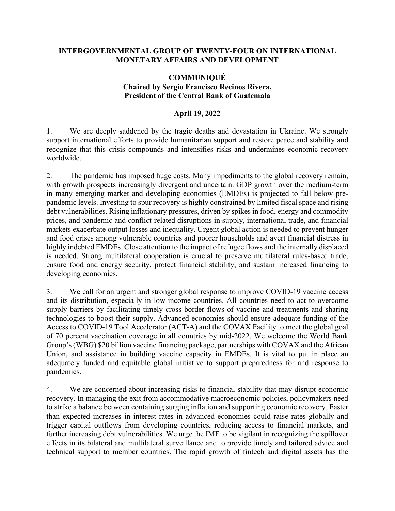## **INTERGOVERNMENTAL GROUP OF TWENTY-FOUR ON INTERNATIONAL MONETARY AFFAIRS AND DEVELOPMENT**

## **COMMUNIQUÉ Chaired by Sergio Francisco Recinos Rivera, President of the Central Bank of Guatemala**

## **April 19, 2022**

1. We are deeply saddened by the tragic deaths and devastation in Ukraine. We strongly support international efforts to provide humanitarian support and restore peace and stability and recognize that this crisis compounds and intensifies risks and undermines economic recovery worldwide.

2. The pandemic has imposed huge costs. Many impediments to the global recovery remain, with growth prospects increasingly divergent and uncertain. GDP growth over the medium-term in many emerging market and developing economies (EMDEs) is projected to fall below prepandemic levels. Investing to spur recovery is highly constrained by limited fiscal space and rising debt vulnerabilities. Rising inflationary pressures, driven by spikes in food, energy and commodity prices, and pandemic and conflict-related disruptions in supply, international trade, and financial markets exacerbate output losses and inequality. Urgent global action is needed to prevent hunger and food crises among vulnerable countries and poorer households and avert financial distress in highly indebted EMDEs. Close attention to the impact of refugee flows and the internally displaced is needed. Strong multilateral cooperation is crucial to preserve multilateral rules-based trade, ensure food and energy security, protect financial stability, and sustain increased financing to developing economies.

3. We call for an urgent and stronger global response to improve COVID-19 vaccine access and its distribution, especially in low-income countries. All countries need to act to overcome supply barriers by facilitating timely cross border flows of vaccine and treatments and sharing technologies to boost their supply. Advanced economies should ensure adequate funding of the Access to COVID-19 Tool Accelerator (ACT-A) and the COVAX Facility to meet the global goal of 70 percent vaccination coverage in all countries by mid-2022. We welcome the World Bank Group's (WBG) \$20 billion vaccine financing package, partnerships with COVAX and the African Union, and assistance in building vaccine capacity in EMDEs. It is vital to put in place an adequately funded and equitable global initiative to support preparedness for and response to pandemics.

4. We are concerned about increasing risks to financial stability that may disrupt economic recovery. In managing the exit from accommodative macroeconomic policies, policymakers need to strike a balance between containing surging inflation and supporting economic recovery. Faster than expected increases in interest rates in advanced economies could raise rates globally and trigger capital outflows from developing countries, reducing access to financial markets, and further increasing debt vulnerabilities. We urge the IMF to be vigilant in recognizing the spillover effects in its bilateral and multilateral surveillance and to provide timely and tailored advice and technical support to member countries. The rapid growth of fintech and digital assets has the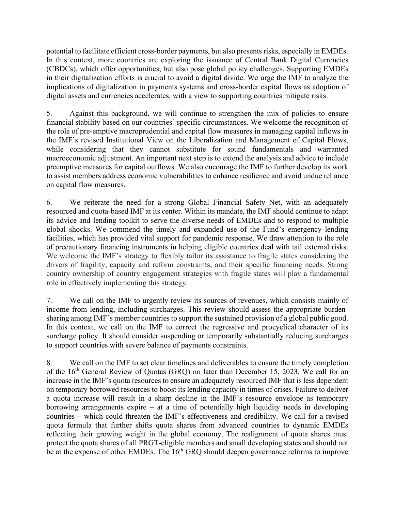potential to facilitate efficient cross-border payments, but also presents risks, especially in EMDEs. In this context, more countries are exploring the issuance of Central Bank Digital Currencies (CBDCs), which offer opportunities, but also pose global policy challenges. Supporting EMDEs in their digitalization efforts is crucial to avoid a digital divide. We urge the IMF to analyze the implications of digitalization in payments systems and cross-border capital flows as adoption of digital assets and currencies accelerates, with a view to supporting countries mitigate risks.

5. Against this background, we will continue to strengthen the mix of policies to ensure financial stability based on our countries' specific circumstances. We welcome the recognition of the role of pre-emptive macroprudential and capital flow measures in managing capital inflows in the IMF's revised Institutional View on the Liberalization and Management of Capital Flows, while considering that they cannot substitute for sound fundamentals and warranted macroeconomic adjustment. An important next step is to extend the analysis and advice to include preemptive measures for capital outflows. We also encourage the IMF to further develop its work to assist members address economic vulnerabilities to enhance resilience and avoid undue reliance on capital flow measures.

6. We reiterate the need for a strong Global Financial Safety Net, with an adequately resourced and quota-based IMF at its center. Within its mandate, the IMF should continue to adapt its advice and lending toolkit to serve the diverse needs of EMDEs and to respond to multiple global shocks. We commend the timely and expanded use of the Fund's emergency lending facilities, which has provided vital support for pandemic response. We draw attention to the role of precautionary financing instruments in helping eligible countries deal with tail external risks. We welcome the IMF's strategy to flexibly tailor its assistance to fragile states considering the drivers of fragility, capacity and reform constraints, and their specific financing needs. Strong country ownership of country engagement strategies with fragile states will play a fundamental role in effectively implementing this strategy.

7. We call on the IMF to urgently review its sources of revenues, which consists mainly of income from lending, including surcharges. This review should assess the appropriate burdensharing among IMF's member countries to support the sustained provision of a global public good. In this context, we call on the IMF to correct the regressive and procyclical character of its surcharge policy. It should consider suspending or temporarily substantially reducing surcharges to support countries with severe balance of payments constraints.

8. We call on the IMF to set clear timelines and deliverables to ensure the timely completion of the  $16<sup>th</sup>$  General Review of Quotas (GRQ) no later than December 15, 2023. We call for an increase in the IMF's quota resources to ensure an adequately resourced IMF that is less dependent on temporary borrowed resources to boost its lending capacity in times of crises. Failure to deliver a quota increase will result in a sharp decline in the IMF's resource envelope as temporary borrowing arrangements expire – at a time of potentially high liquidity needs in developing countries – which could threaten the IMF's effectiveness and credibility. We call for a revised quota formula that further shifts quota shares from advanced countries to dynamic EMDEs reflecting their growing weight in the global economy. The realignment of quota shares must protect the quota shares of all PRGT-eligible members and small developing states and should not be at the expense of other EMDEs. The  $16<sup>th</sup>$  GRQ should deepen governance reforms to improve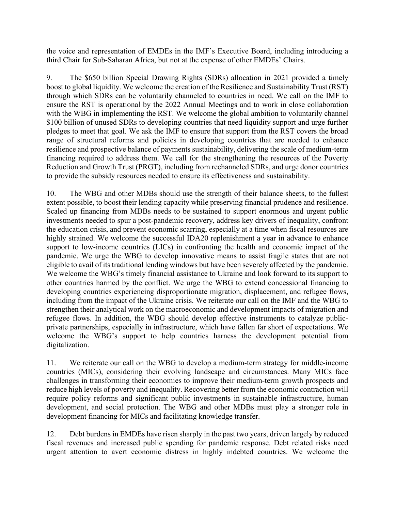the voice and representation of EMDEs in the IMF's Executive Board, including introducing a third Chair for Sub-Saharan Africa, but not at the expense of other EMDEs' Chairs.

9. The \$650 billion Special Drawing Rights (SDRs) allocation in 2021 provided a timely boost to global liquidity. We welcome the creation of the Resilience and Sustainability Trust (RST) through which SDRs can be voluntarily channeled to countries in need. We call on the IMF to ensure the RST is operational by the 2022 Annual Meetings and to work in close collaboration with the WBG in implementing the RST. We welcome the global ambition to voluntarily channel \$100 billion of unused SDRs to developing countries that need liquidity support and urge further pledges to meet that goal. We ask the IMF to ensure that support from the RST covers the broad range of structural reforms and policies in developing countries that are needed to enhance resilience and prospective balance of payments sustainability, delivering the scale of medium-term financing required to address them. We call for the strengthening the resources of the Poverty Reduction and Growth Trust (PRGT), including from rechanneled SDRs, and urge donor countries to provide the subsidy resources needed to ensure its effectiveness and sustainability.

10. The WBG and other MDBs should use the strength of their balance sheets, to the fullest extent possible, to boost their lending capacity while preserving financial prudence and resilience. Scaled up financing from MDBs needs to be sustained to support enormous and urgent public investments needed to spur a post-pandemic recovery, address key drivers of inequality, confront the education crisis, and prevent economic scarring, especially at a time when fiscal resources are highly strained. We welcome the successful IDA20 replenishment a year in advance to enhance support to low-income countries (LICs) in confronting the health and economic impact of the pandemic. We urge the WBG to develop innovative means to assist fragile states that are not eligible to avail of its traditional lending windows but have been severely affected by the pandemic. We welcome the WBG's timely financial assistance to Ukraine and look forward to its support to other countries harmed by the conflict. We urge the WBG to extend concessional financing to developing countries experiencing disproportionate migration, displacement, and refugee flows, including from the impact of the Ukraine crisis. We reiterate our call on the IMF and the WBG to strengthen their analytical work on the macroeconomic and development impacts of migration and refugee flows. In addition, the WBG should develop effective instruments to catalyze publicprivate partnerships, especially in infrastructure, which have fallen far short of expectations. We welcome the WBG's support to help countries harness the development potential from digitalization.

11. We reiterate our call on the WBG to develop a medium-term strategy for middle-income countries (MICs), considering their evolving landscape and circumstances. Many MICs face challenges in transforming their economies to improve their medium-term growth prospects and reduce high levels of poverty and inequality. Recovering better from the economic contraction will require policy reforms and significant public investments in sustainable infrastructure, human development, and social protection. The WBG and other MDBs must play a stronger role in development financing for MICs and facilitating knowledge transfer.

12. Debt burdens in EMDEs have risen sharply in the past two years, driven largely by reduced fiscal revenues and increased public spending for pandemic response. Debt related risks need urgent attention to avert economic distress in highly indebted countries. We welcome the